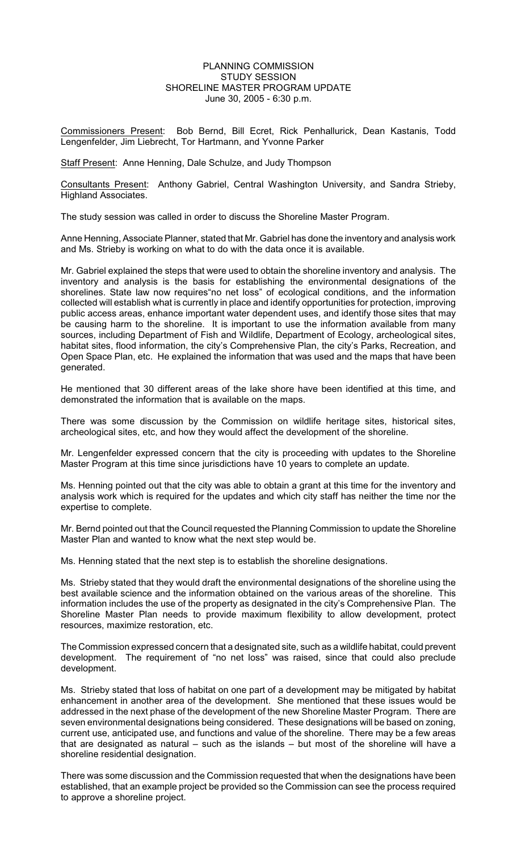## PLANNING COMMISSION STUDY SESSION SHORELINE MASTER PROGRAM UPDATE June 30, 2005 - 6:30 p.m.

Commissioners Present: Bob Bernd, Bill Ecret, Rick Penhallurick, Dean Kastanis, Todd Lengenfelder, Jim Liebrecht, Tor Hartmann, and Yvonne Parker

Staff Present: Anne Henning, Dale Schulze, and Judy Thompson

Consultants Present: Anthony Gabriel, Central Washington University, and Sandra Strieby, Highland Associates.

The study session was called in order to discuss the Shoreline Master Program.

Anne Henning, Associate Planner, stated that Mr. Gabriel has done the inventory and analysis work and Ms. Strieby is working on what to do with the data once it is available.

Mr. Gabriel explained the steps that were used to obtain the shoreline inventory and analysis. The inventory and analysis is the basis for establishing the environmental designations of the shorelines. State law now requires"no net loss" of ecological conditions, and the information collected will establish what is currently in place and identify opportunities for protection, improving public access areas, enhance important water dependent uses, and identify those sites that may be causing harm to the shoreline. It is important to use the information available from many sources, including Department of Fish and Wildlife, Department of Ecology, archeological sites, habitat sites, flood information, the city's Comprehensive Plan, the city's Parks, Recreation, and Open Space Plan, etc. He explained the information that was used and the maps that have been generated.

He mentioned that 30 different areas of the lake shore have been identified at this time, and demonstrated the information that is available on the maps.

There was some discussion by the Commission on wildlife heritage sites, historical sites, archeological sites, etc, and how they would affect the development of the shoreline.

Mr. Lengenfelder expressed concern that the city is proceeding with updates to the Shoreline Master Program at this time since jurisdictions have 10 years to complete an update.

Ms. Henning pointed out that the city was able to obtain a grant at this time for the inventory and analysis work which is required for the updates and which city staff has neither the time nor the expertise to complete.

Mr. Bernd pointed out that the Council requested the Planning Commission to update the Shoreline Master Plan and wanted to know what the next step would be.

Ms. Henning stated that the next step is to establish the shoreline designations.

Ms. Strieby stated that they would draft the environmental designations of the shoreline using the best available science and the information obtained on the various areas of the shoreline. This information includes the use of the property as designated in the city's Comprehensive Plan. The Shoreline Master Plan needs to provide maximum flexibility to allow development, protect resources, maximize restoration, etc.

The Commission expressed concern that a designated site, such as a wildlife habitat, could prevent development. The requirement of "no net loss" was raised, since that could also preclude development.

Ms. Strieby stated that loss of habitat on one part of a development may be mitigated by habitat enhancement in another area of the development. She mentioned that these issues would be addressed in the next phase of the development of the new Shoreline Master Program. There are seven environmental designations being considered. These designations will be based on zoning, current use, anticipated use, and functions and value of the shoreline. There may be a few areas that are designated as natural – such as the islands – but most of the shoreline will have a shoreline residential designation.

There was some discussion and the Commission requested that when the designations have been established, that an example project be provided so the Commission can see the process required to approve a shoreline project.